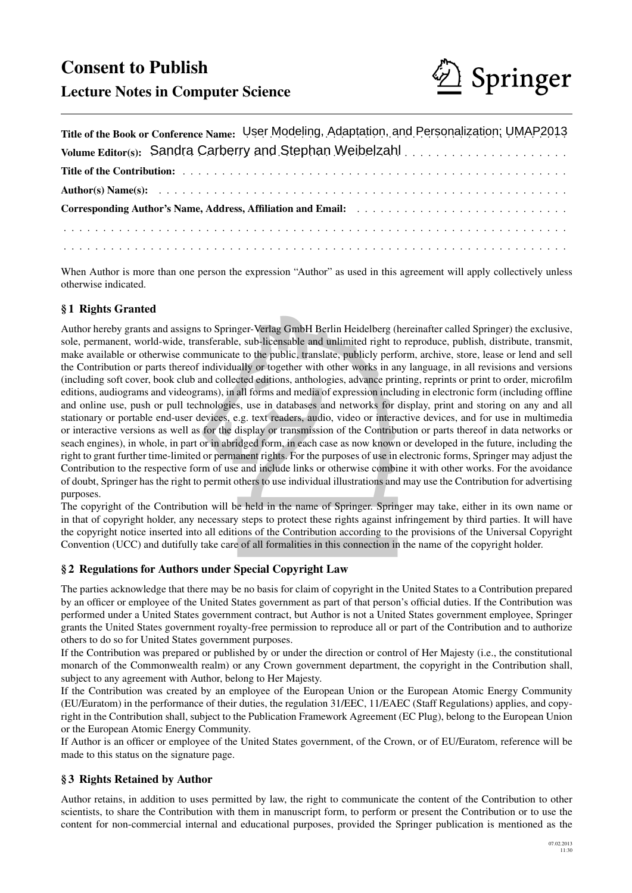# Consent to Publish



# Lecture Notes in Computer Science

| Title of the Book or Conference Name: User Modeling, Adaptation, and Personalization; UMAP2013 |
|------------------------------------------------------------------------------------------------|
|                                                                                                |
|                                                                                                |
|                                                                                                |
| Corresponding Author's Name, Address, Affiliation and Email:                                   |
|                                                                                                |
|                                                                                                |

When Author is more than one person the expression "Author" as used in this agreement will apply collectively unless otherwise indicated.

# § 1 Rights Granted

example and unimidate the direction of the present of the present of the present and unimited right to to the public, translate, publicly perfally or together with other works in a cted editions, anthologies, advance prial Author hereby grants and assigns to Springer-Verlag GmbH Berlin Heidelberg (hereinafter called Springer) the exclusive, sole, permanent, world-wide, transferable, sub-licensable and unlimited right to reproduce, publish, distribute, transmit, make available or otherwise communicate to the public, translate, publicly perform, archive, store, lease or lend and sell the Contribution or parts thereof individually or together with other works in any language, in all revisions and versions (including soft cover, book club and collected editions, anthologies, advance printing, reprints or print to order, microfilm editions, audiograms and videograms), in all forms and media of expression including in electronic form (including offline and online use, push or pull technologies, use in databases and networks for display, print and storing on any and all stationary or portable end-user devices, e.g. text readers, audio, video or interactive devices, and for use in multimedia or interactive versions as well as for the display or transmission of the Contribution or parts thereof in data networks or seach engines), in whole, in part or in abridged form, in each case as now known or developed in the future, including the right to grant further time-limited or permanent rights. For the purposes of use in electronic forms, Springer may adjust the Contribution to the respective form of use and include links or otherwise combine it with other works. For the avoidance of doubt, Springer has the right to permit others to use individual illustrations and may use the Contribution for advertising purposes.

The copyright of the Contribution will be held in the name of Springer. Springer may take, either in its own name or in that of copyright holder, any necessary steps to protect these rights against infringement by third parties. It will have the copyright notice inserted into all editions of the Contribution according to the provisions of the Universal Copyright Convention (UCC) and dutifully take care of all formalities in this connection in the name of the copyright holder.

# § 2 Regulations for Authors under Special Copyright Law

The parties acknowledge that there may be no basis for claim of copyright in the United States to a Contribution prepared by an officer or employee of the United States government as part of that person's official duties. If the Contribution was performed under a United States government contract, but Author is not a United States government employee, Springer grants the United States government royalty-free permission to reproduce all or part of the Contribution and to authorize others to do so for United States government purposes.

If the Contribution was prepared or published by or under the direction or control of Her Majesty (i.e., the constitutional monarch of the Commonwealth realm) or any Crown government department, the copyright in the Contribution shall, subject to any agreement with Author, belong to Her Majesty.

If the Contribution was created by an employee of the European Union or the European Atomic Energy Community (EU/Euratom) in the performance of their duties, the regulation 31/EEC, 11/EAEC (Staff Regulations) applies, and copyright in the Contribution shall, subject to the Publication Framework Agreement (EC Plug), belong to the European Union or the European Atomic Energy Community.

If Author is an officer or employee of the United States government, of the Crown, or of EU/Euratom, reference will be made to this status on the signature page.

# § 3 Rights Retained by Author

Author retains, in addition to uses permitted by law, the right to communicate the content of the Contribution to other scientists, to share the Contribution with them in manuscript form, to perform or present the Contribution or to use the content for non-commercial internal and educational purposes, provided the Springer publication is mentioned as the